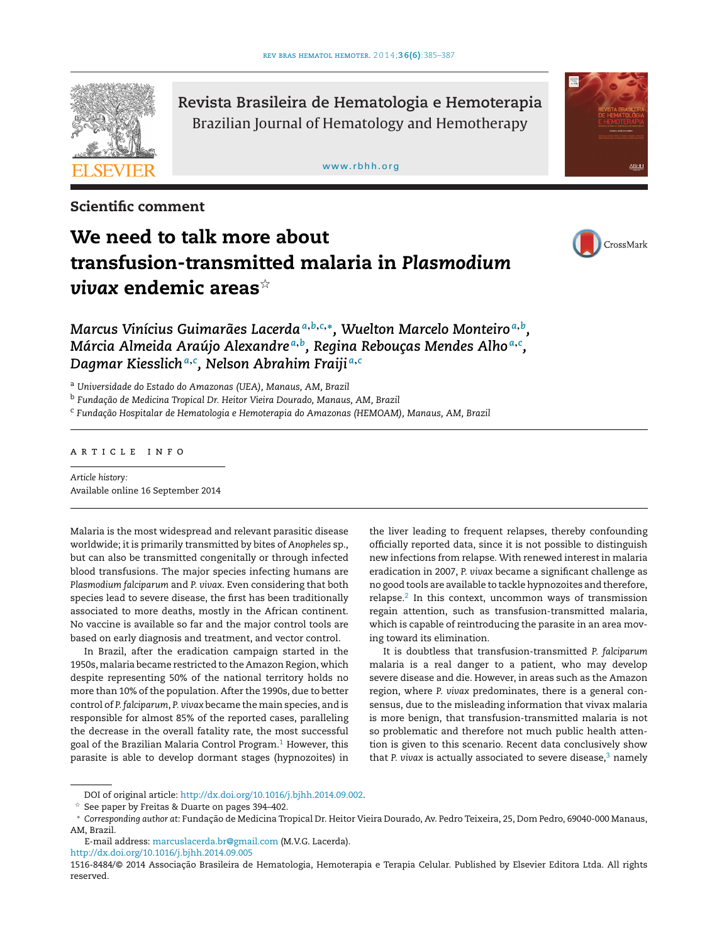

**Revista Brasileira de Hematologia e Hemoterapia** Brazilian Journal of Hematology and Hemotherapy

#### [www.rbhh.org](http://www.rbhh.org)

ABLIL

**Scientific comment**

# **We need to talk more about transfusion-transmitted malaria in** *Plasmodium*  $\boldsymbol{v}$ ivax endemic areas $^{\star}$



*Marcus Vinícius Guimarães Lacerda<sup>a</sup>***,***b***,***c***,∗***, Wuelton Marcelo Monteiro <sup>a</sup>***,***b, Márcia Almeida Araújo Alexandre <sup>a</sup>***,***b, Regina Rebouc¸as Mendes Alho <sup>a</sup>***,***<sup>c</sup> , Dagmar Kiesslich<sup>a</sup>***,***<sup>c</sup> , Nelson Abrahim Fraiji <sup>a</sup>***,***<sup>c</sup>*

<sup>a</sup> *Universidade do Estado do Amazonas (UEA), Manaus, AM, Brazil*

<sup>b</sup> *Fundac¸ão de Medicina Tropical Dr. Heitor Vieira Dourado, Manaus, AM, Brazil*

<sup>c</sup> *Fundac¸ão Hospitalar de Hematologia e Hemoterapia do Amazonas (HEMOAM), Manaus, AM, Brazil*

## a r t i c l e i n f o

*Article history:* Available online 16 September 2014

Malaria is the most widespread and relevant parasitic disease worldwide; it is primarily transmitted by bites of *Anopheles* sp., but can also be transmitted congenitally or through infected blood transfusions. The major species infecting humans are *Plasmodium falciparum* and *P. vivax*. Even considering that both species lead to severe disease, the first has been traditionally associated to more deaths, mostly in the African continent. No vaccine is available so far and the major control tools are based on early diagnosis and treatment, and vector control.

In Brazil, after the eradication campaign started in the 1950s, malaria became restricted to the Amazon Region, which despite representing 50% of the national territory holds no more than 10% of the population. After the 1990s, due to better control of *P. falciparum*, *P. vivax* became the main species, and is responsible for almost 85% of the reported cases, paralleling the decrease in the overall fatality rate, the most successful goal of the Brazilian Malaria Control Program.<sup>[1](#page-2-0)</sup> However, this parasite is able to develop dormant stages (hypnozoites) in

the liver leading to frequent relapses, thereby confounding officially reported data, since it is not possible to distinguish new infections from relapse. With renewed interest in malaria eradication in 2007, *P. vivax* became a significant challenge as no good tools are available to tackle hypnozoites and therefore, relapse. $2$  In this context, uncommon ways of transmission regain attention, such as transfusion-transmitted malaria, which is capable of reintroducing the parasite in an area moving toward its elimination.

It is doubtless that transfusion-transmitted *P. falciparum* malaria is a real danger to a patient, who may develop severe disease and die. However, in areas such as the Amazon region, where *P. vivax* predominates, there is a general consensus, due to the misleading information that vivax malaria is more benign, that transfusion-transmitted malaria is not so problematic and therefore not much public health attention is given to this scenario. Recent data conclusively show that *P. vivax* is actually associated to severe disease,<sup>[3](#page-2-0)</sup> namely

[http://dx.doi.org/10.1016/j.bjhh.2014.09.005](dx.doi.org/10.1016/j.bjhh.2014.09.005)

DOI of original article: <http://dx.doi.org/10.1016/j.bjhh.2014.09.002>.

 $*$  See paper by Freitas & Duarte on pages 394–402.

<sup>∗</sup> *Corresponding author at*: Fundac¸ão de Medicina Tropical Dr. Heitor Vieira Dourado, Av. Pedro Teixeira, 25, Dom Pedro, 69040-000 Manaus, AM, Brazil.

E-mail address: [marcuslacerda.br@gmail.com](mailto:marcuslacerda.br@gmail.com) (M.V.G. Lacerda).

<sup>1516-8484/© 2014</sup> Associação Brasileira de Hematologia, Hemoterapia e Terapia Celular. Published by Elsevier Editora Ltda. All rights reserved.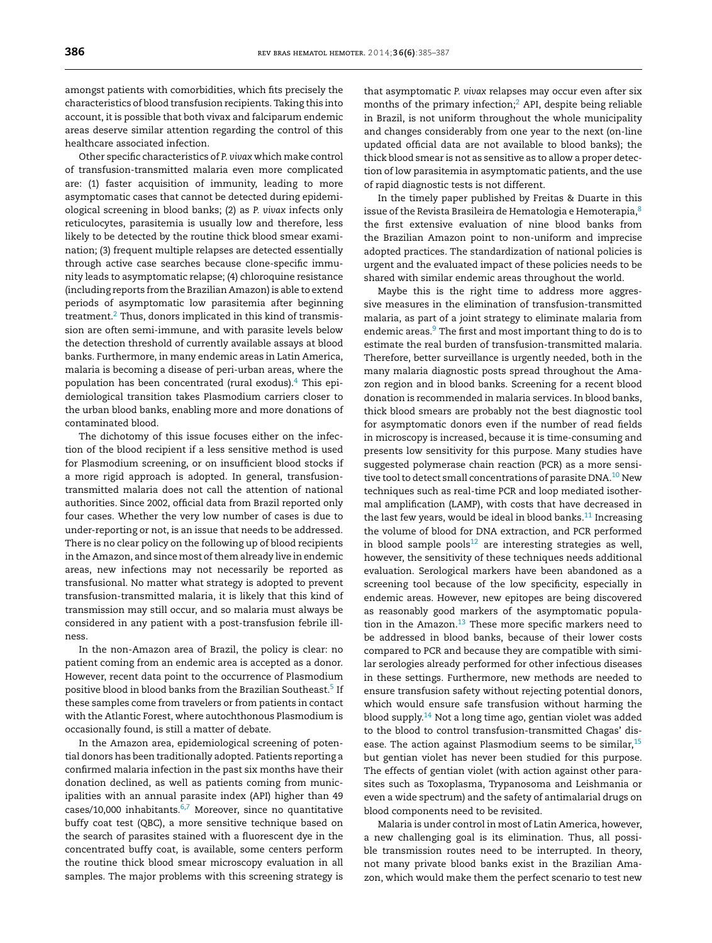amongst patients with comorbidities, which fits precisely the characteristics of blood transfusion recipients. Taking this into account, it is possible that both vivax and falciparum endemic areas deserve similar attention regarding the control of this healthcare associated infection.

Other specific characteristics of *P. vivax* which make control of transfusion-transmitted malaria even more complicated are: (1) faster acquisition of immunity, leading to more asymptomatic cases that cannot be detected during epidemiological screening in blood banks; (2) as *P. vivax* infects only reticulocytes, parasitemia is usually low and therefore, less likely to be detected by the routine thick blood smear examination; (3) frequent multiple relapses are detected essentially through active case searches because clone-specific immunity leads to asymptomatic relapse; (4) chloroquine resistance (including reports from the Brazilian Amazon) is able to extend periods of asymptomatic low parasitemia after beginning treatment.<sup>[2](#page-2-0)</sup> Thus, donors implicated in this kind of transmission are often semi-immune, and with parasite levels below the detection threshold of currently available assays at blood banks. Furthermore, in many endemic areas in Latin America, malaria is becoming a disease of peri-urban areas, where the population has been concentrated (rural exodus)[.4](#page-2-0) This epidemiological transition takes Plasmodium carriers closer to the urban blood banks, enabling more and more donations of contaminated blood.

The dichotomy of this issue focuses either on the infection of the blood recipient if a less sensitive method is used for Plasmodium screening, or on insufficient blood stocks if a more rigid approach is adopted. In general, transfusiontransmitted malaria does not call the attention of national authorities. Since 2002, official data from Brazil reported only four cases. Whether the very low number of cases is due to under-reporting or not, is an issue that needs to be addressed. There is no clear policy on the following up of blood recipients in the Amazon, and since most of them already live in endemic areas, new infections may not necessarily be reported as transfusional. No matter what strategy is adopted to prevent transfusion-transmitted malaria, it is likely that this kind of transmission may still occur, and so malaria must always be considered in any patient with a post-transfusion febrile illness.

In the non-Amazon area of Brazil, the policy is clear: no patient coming from an endemic area is accepted as a donor. However, recent data point to the occurrence of Plasmodium positive blood in blood banks from the Brazilian Southeast.<sup>5</sup> If these samples come from travelers or from patients in contact with the Atlantic Forest, where autochthonous Plasmodium is occasionally found, is still a matter of debate.

In the Amazon area, epidemiological screening of potential donors has been traditionally adopted. Patients reporting a confirmed malaria infection in the past six months have their donation declined, as well as patients coming from municipalities with an annual parasite index (API) higher than 49 cases/10,000 inhabitants. $6,7$  Moreover, since no quantitative buffy coat test (QBC), a more sensitive technique based on the search of parasites stained with a fluorescent dye in the concentrated buffy coat, is available, some centers perform the routine thick blood smear microscopy evaluation in all samples. The major problems with this screening strategy is that asymptomatic *P. vivax* relapses may occur even after six months of the primary infection; $<sup>2</sup>$  $<sup>2</sup>$  $<sup>2</sup>$  API, despite being reliable</sup> in Brazil, is not uniform throughout the whole municipality and changes considerably from one year to the next (on-line updated official data are not available to blood banks); the thick blood smear is not as sensitive as to allow a proper detection of low parasitemia in asymptomatic patients, and the use of rapid diagnostic tests is not different.

In the timely paper published by Freitas & Duarte in this issue of the Revista Brasileira de Hematologia e Hemoterapia,<sup>[8](#page-2-0)</sup> the first extensive evaluation of nine blood banks from the Brazilian Amazon point to non-uniform and imprecise adopted practices. The standardization of national policies is urgent and the evaluated impact of these policies needs to be shared with similar endemic areas throughout the world.

Maybe this is the right time to address more aggressive measures in the elimination of transfusion-transmitted malaria, as part of a joint strategy to eliminate malaria from endemic areas.<sup>9</sup> The first and most important thing to do is to estimate the real burden of transfusion-transmitted malaria. Therefore, better surveillance is urgently needed, both in the many malaria diagnostic posts spread throughout the Amazon region and in blood banks. Screening for a recent blood donation is recommended in malaria services. In blood banks, thick blood smears are probably not the best diagnostic tool for asymptomatic donors even if the number of read fields in microscopy is increased, because it is time-consuming and presents low sensitivity for this purpose. Many studies have suggested polymerase chain reaction (PCR) as a more sensitive tool to detect small concentrations of parasite DNA. $^{10}$  New techniques such as real-time PCR and loop mediated isothermal amplification (LAMP), with costs that have decreased in the last few years, would be ideal in blood banks. $11$  Increasing the volume of blood for DNA extraction, and PCR performed in blood sample pools $12$  are interesting strategies as well, however, the sensitivity of these techniques needs additional evaluation. Serological markers have been abandoned as a screening tool because of the low specificity, especially in endemic areas. However, new epitopes are being discovered as reasonably good markers of the asymptomatic population in the Amazon.<sup>13</sup> These more specific markers need to be addressed in blood banks, because of their lower costs compared to PCR and because they are compatible with similar serologies already performed for other infectious diseases in these settings. Furthermore, new methods are needed to ensure transfusion safety without rejecting potential donors, which would ensure safe transfusion without harming the blood supply.[14](#page-2-0) Not a long time ago, gentian violet was added to the blood to control transfusion-transmitted Chagas' disease. The action against Plasmodium seems to be similar,<sup>15</sup> but gentian violet has never been studied for this purpose. The effects of gentian violet (with action against other parasites such as Toxoplasma, Trypanosoma and Leishmania or even a wide spectrum) and the safety of antimalarial drugs on blood components need to be revisited.

Malaria is under control in most of Latin America, however, a new challenging goal is its elimination. Thus, all possible transmission routes need to be interrupted. In theory, not many private blood banks exist in the Brazilian Amazon, which would make them the perfect scenario to test new